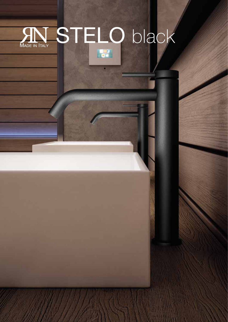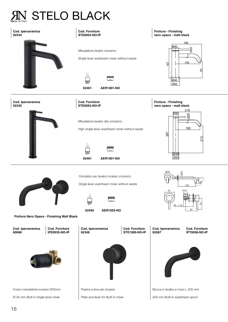## STELO BLACK

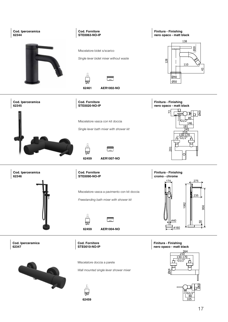